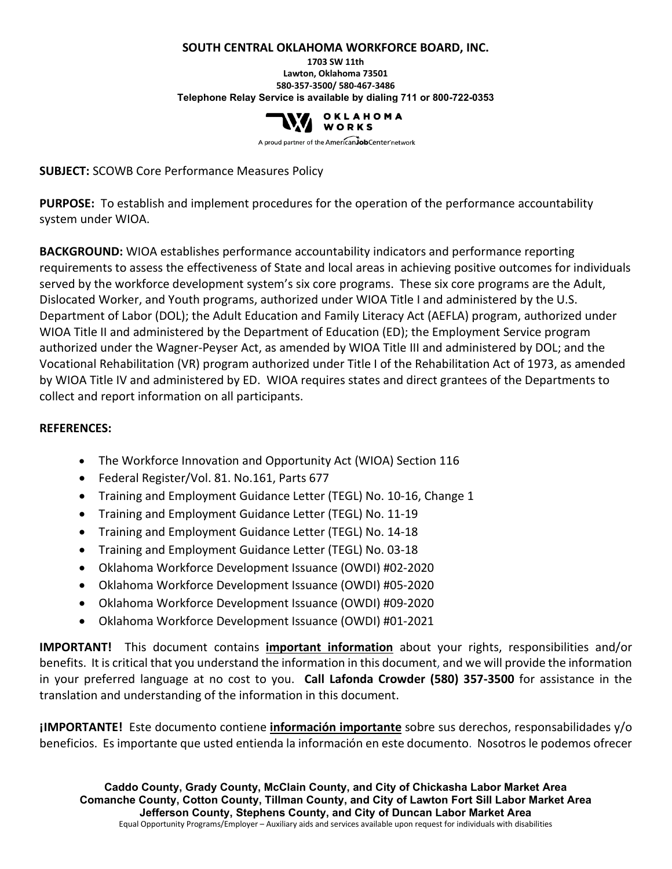#### **SOUTH CENTRAL OKLAHOMA WORKFORCE BOARD, INC.**

**1703 SW 11th Lawton, Oklahoma 73501 580-357-3500/ 580-467-3486 Telephone Relay Service is available by dialing 711 or 800-722-0353**



A proud partner of the AmericanJobCenter network

**SUBJECT:** SCOWB Core Performance Measures Policy

**PURPOSE:** To establish and implement procedures for the operation of the performance accountability system under WIOA.

**BACKGROUND:** WIOA establishes performance accountability indicators and performance reporting requirements to assess the effectiveness of State and local areas in achieving positive outcomes for individuals served by the workforce development system's six core programs. These six core programs are the Adult, Dislocated Worker, and Youth programs, authorized under WIOA Title I and administered by the U.S. Department of Labor (DOL); the Adult Education and Family Literacy Act (AEFLA) program, authorized under WIOA Title II and administered by the Department of Education (ED); the Employment Service program authorized under the Wagner-Peyser Act, as amended by WIOA Title III and administered by DOL; and the Vocational Rehabilitation (VR) program authorized under Title I of the Rehabilitation Act of 1973, as amended by WIOA Title IV and administered by ED. WIOA requires states and direct grantees of the Departments to collect and report information on all participants.

#### **REFERENCES:**

- The Workforce Innovation and Opportunity Act (WIOA) Section 116
- Federal Register/Vol. 81. No.161, Parts 677
- Training and Employment Guidance Letter (TEGL) No. 10-16, Change 1
- Training and Employment Guidance Letter (TEGL) No. 11-19
- Training and Employment Guidance Letter (TEGL) No. 14-18
- Training and Employment Guidance Letter (TEGL) No. 03-18
- Oklahoma Workforce Development Issuance (OWDI) #02-2020
- Oklahoma Workforce Development Issuance (OWDI) #05-2020
- Oklahoma Workforce Development Issuance (OWDI) #09-2020
- Oklahoma Workforce Development Issuance (OWDI) #01-2021

**IMPORTANT!** This document contains **important information** about your rights, responsibilities and/or benefits. It is critical that you understand the information in this document, and we will provide the information in your preferred language at no cost to you. **Call Lafonda Crowder (580) 357-3500** for assistance in the translation and understanding of the information in this document.

**¡IMPORTANTE!** Este documento contiene **información importante** sobre sus derechos, responsabilidades y/o beneficios. Es importante que usted entienda la información en este documento. Nosotros le podemos ofrecer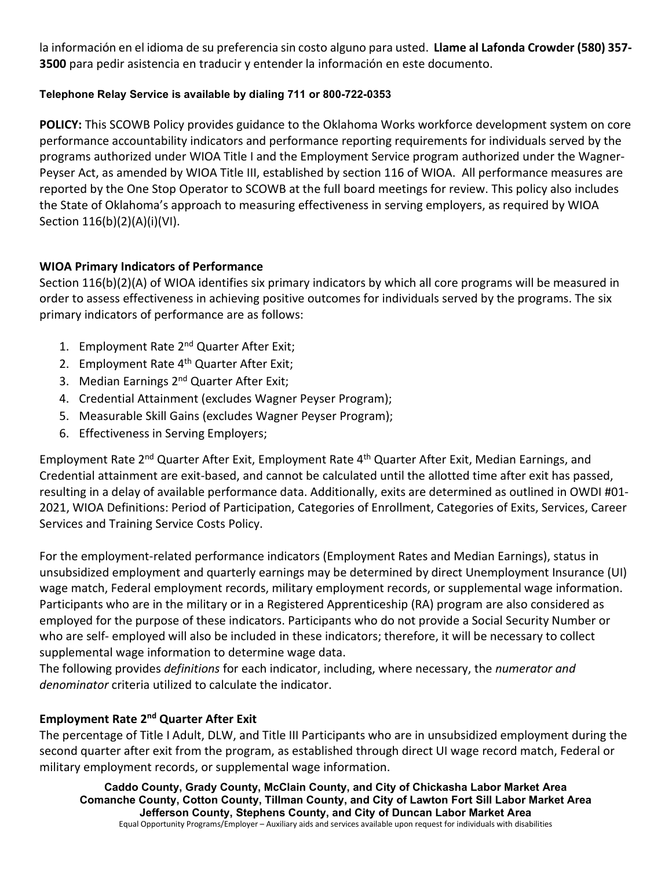la información en el idioma de su preferencia sin costo alguno para usted. **Llame al Lafonda Crowder (580) 357- 3500** para pedir asistencia en traducir y entender la información en este documento.

#### **Telephone Relay Service is available by dialing 711 or 800-722-0353**

**POLICY:** This SCOWB Policy provides guidance to the Oklahoma Works workforce development system on core performance accountability indicators and performance reporting requirements for individuals served by the programs authorized under WIOA Title I and the Employment Service program authorized under the Wagner-Peyser Act, as amended by WIOA Title III, established by section 116 of WIOA. All performance measures are reported by the One Stop Operator to SCOWB at the full board meetings for review. This policy also includes the State of Oklahoma's approach to measuring effectiveness in serving employers, as required by WIOA Section 116(b)(2)(A)(i)(VI).

### **WIOA Primary Indicators of Performance**

Section 116(b)(2)(A) of WIOA identifies six primary indicators by which all core programs will be measured in order to assess effectiveness in achieving positive outcomes for individuals served by the programs. The six primary indicators of performance are as follows:

- 1. Employment Rate 2<sup>nd</sup> Quarter After Exit;
- 2. Employment Rate 4<sup>th</sup> Quarter After Exit;
- 3. Median Earnings 2<sup>nd</sup> Quarter After Exit;
- 4. Credential Attainment (excludes Wagner Peyser Program);
- 5. Measurable Skill Gains (excludes Wagner Peyser Program);
- 6. Effectiveness in Serving Employers;

Employment Rate 2<sup>nd</sup> Quarter After Exit, Employment Rate 4<sup>th</sup> Quarter After Exit, Median Earnings, and Credential attainment are exit-based, and cannot be calculated until the allotted time after exit has passed, resulting in a delay of available performance data. Additionally, exits are determined as outlined in OWDI #01- 2021, WIOA Definitions: Period of Participation, Categories of Enrollment, Categories of Exits, Services, Career Services and Training Service Costs Policy.

For the employment-related performance indicators (Employment Rates and Median Earnings), status in unsubsidized employment and quarterly earnings may be determined by direct Unemployment Insurance (UI) wage match, Federal employment records, military employment records, or supplemental wage information. Participants who are in the military or in a Registered Apprenticeship (RA) program are also considered as employed for the purpose of these indicators. Participants who do not provide a Social Security Number or who are self- employed will also be included in these indicators; therefore, it will be necessary to collect supplemental wage information to determine wage data.

The following provides *definitions* for each indicator, including, where necessary, the *numerator and denominator* criteria utilized to calculate the indicator.

#### **Employment Rate 2nd Quarter After Exit**

The percentage of Title I Adult, DLW, and Title III Participants who are in unsubsidized employment during the second quarter after exit from the program, as established through direct UI wage record match, Federal or military employment records, or supplemental wage information.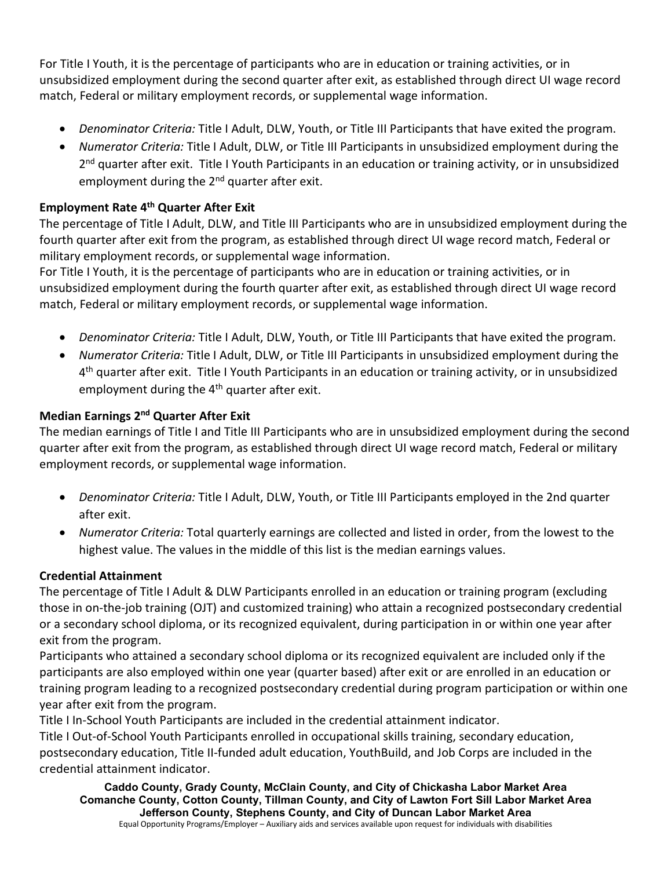For Title I Youth, it is the percentage of participants who are in education or training activities, or in unsubsidized employment during the second quarter after exit, as established through direct UI wage record match, Federal or military employment records, or supplemental wage information.

- *Denominator Criteria:* Title I Adult, DLW, Youth, or Title III Participants that have exited the program.
- *Numerator Criteria:* Title I Adult, DLW, or Title III Participants in unsubsidized employment during the 2<sup>nd</sup> quarter after exit. Title I Youth Participants in an education or training activity, or in unsubsidized employment during the 2<sup>nd</sup> quarter after exit.

## **Employment Rate 4th Quarter After Exit**

The percentage of Title I Adult, DLW, and Title III Participants who are in unsubsidized employment during the fourth quarter after exit from the program, as established through direct UI wage record match, Federal or military employment records, or supplemental wage information.

For Title I Youth, it is the percentage of participants who are in education or training activities, or in unsubsidized employment during the fourth quarter after exit, as established through direct UI wage record match, Federal or military employment records, or supplemental wage information.

- *Denominator Criteria:* Title I Adult, DLW, Youth, or Title III Participants that have exited the program.
- *Numerator Criteria:* Title I Adult, DLW, or Title III Participants in unsubsidized employment during the 4th quarter after exit. Title I Youth Participants in an education or training activity, or in unsubsidized employment during the 4<sup>th</sup> quarter after exit.

### **Median Earnings 2nd Quarter After Exit**

The median earnings of Title I and Title III Participants who are in unsubsidized employment during the second quarter after exit from the program, as established through direct UI wage record match, Federal or military employment records, or supplemental wage information.

- *Denominator Criteria:* Title I Adult, DLW, Youth, or Title III Participants employed in the 2nd quarter after exit.
- *Numerator Criteria:* Total quarterly earnings are collected and listed in order, from the lowest to the highest value. The values in the middle of this list is the median earnings values.

### **Credential Attainment**

The percentage of Title I Adult & DLW Participants enrolled in an education or training program (excluding those in on-the-job training (OJT) and customized training) who attain a recognized postsecondary credential or a secondary school diploma, or its recognized equivalent, during participation in or within one year after exit from the program.

Participants who attained a secondary school diploma or its recognized equivalent are included only if the participants are also employed within one year (quarter based) after exit or are enrolled in an education or training program leading to a recognized postsecondary credential during program participation or within one year after exit from the program.

Title I In-School Youth Participants are included in the credential attainment indicator. Title I Out-of-School Youth Participants enrolled in occupational skills training, secondary education, postsecondary education, Title II-funded adult education, YouthBuild, and Job Corps are included in the credential attainment indicator.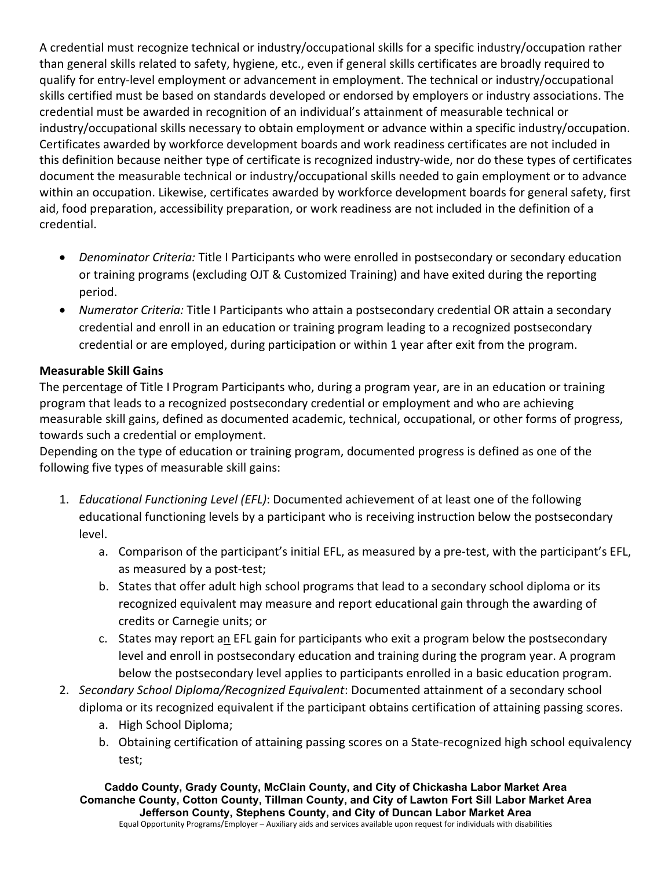A credential must recognize technical or industry/occupational skills for a specific industry/occupation rather than general skills related to safety, hygiene, etc., even if general skills certificates are broadly required to qualify for entry-level employment or advancement in employment. The technical or industry/occupational skills certified must be based on standards developed or endorsed by employers or industry associations. The credential must be awarded in recognition of an individual's attainment of measurable technical or industry/occupational skills necessary to obtain employment or advance within a specific industry/occupation. Certificates awarded by workforce development boards and work readiness certificates are not included in this definition because neither type of certificate is recognized industry-wide, nor do these types of certificates document the measurable technical or industry/occupational skills needed to gain employment or to advance within an occupation. Likewise, certificates awarded by workforce development boards for general safety, first aid, food preparation, accessibility preparation, or work readiness are not included in the definition of a credential.

- *Denominator Criteria:* Title I Participants who were enrolled in postsecondary or secondary education or training programs (excluding OJT & Customized Training) and have exited during the reporting period.
- *Numerator Criteria:* Title I Participants who attain a postsecondary credential OR attain a secondary credential and enroll in an education or training program leading to a recognized postsecondary credential or are employed, during participation or within 1 year after exit from the program.

### **Measurable Skill Gains**

The percentage of Title I Program Participants who, during a program year, are in an education or training program that leads to a recognized postsecondary credential or employment and who are achieving measurable skill gains, defined as documented academic, technical, occupational, or other forms of progress, towards such a credential or employment.

Depending on the type of education or training program, documented progress is defined as one of the following five types of measurable skill gains:

- 1. *Educational Functioning Level (EFL)*: Documented achievement of at least one of the following educational functioning levels by a participant who is receiving instruction below the postsecondary level.
	- a. Comparison of the participant's initial EFL, as measured by a pre-test, with the participant's EFL, as measured by a post-test;
	- b. States that offer adult high school programs that lead to a secondary school diploma or its recognized equivalent may measure and report educational gain through the awarding of credits or Carnegie units; or
	- c. States may report an EFL gain for participants who exit a program below the postsecondary level and enroll in postsecondary education and training during the program year. A program below the postsecondary level applies to participants enrolled in a basic education program.
- 2. *Secondary School Diploma/Recognized Equivalent*: Documented attainment of a secondary school diploma or its recognized equivalent if the participant obtains certification of attaining passing scores.
	- a. High School Diploma;
	- b. Obtaining certification of attaining passing scores on a State-recognized high school equivalency test;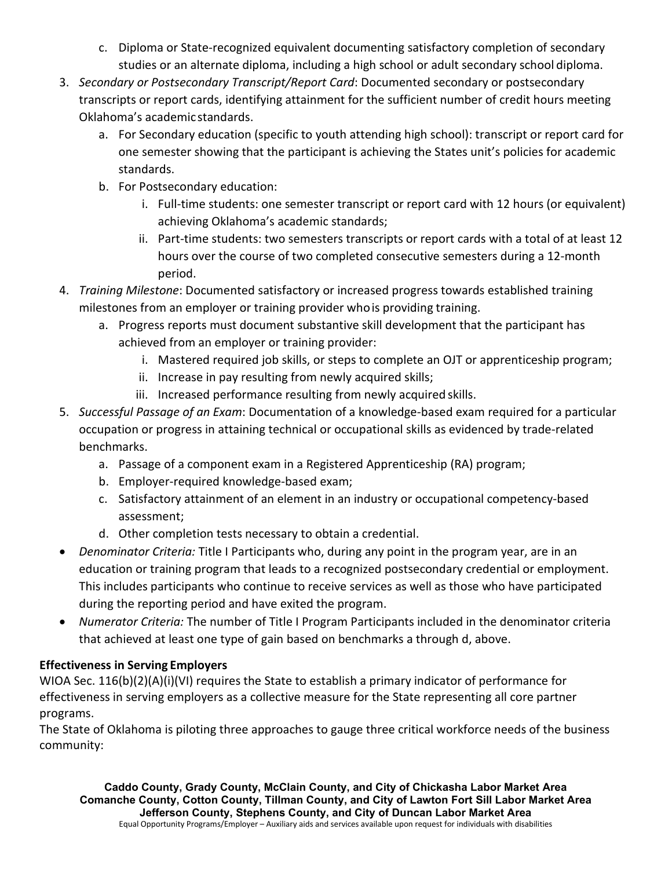- c. Diploma or State-recognized equivalent documenting satisfactory completion of secondary studies or an alternate diploma, including a high school or adult secondary school diploma.
- 3. *Secondary or Postsecondary Transcript/Report Card*: Documented secondary or postsecondary transcripts or report cards, identifying attainment for the sufficient number of credit hours meeting Oklahoma's academic standards.
	- a. For Secondary education (specific to youth attending high school): transcript or report card for one semester showing that the participant is achieving the States unit's policies for academic standards.
	- b. For Postsecondary education:
		- i. Full-time students: one semester transcript or report card with 12 hours (or equivalent) achieving Oklahoma's academic standards;
		- ii. Part-time students: two semesters transcripts or report cards with a total of at least 12 hours over the course of two completed consecutive semesters during a 12-month period.
- 4. *Training Milestone*: Documented satisfactory or increased progress towards established training milestones from an employer or training provider whois providing training.
	- a. Progress reports must document substantive skill development that the participant has achieved from an employer or training provider:
		- i. Mastered required job skills, or steps to complete an OJT or apprenticeship program;
		- ii. Increase in pay resulting from newly acquired skills;
		- iii. Increased performance resulting from newly acquired skills.
- 5. *Successful Passage of an Exam*: Documentation of a knowledge-based exam required for a particular occupation or progress in attaining technical or occupational skills as evidenced by trade-related benchmarks.
	- a. Passage of a component exam in a Registered Apprenticeship (RA) program;
	- b. Employer-required knowledge-based exam;
	- c. Satisfactory attainment of an element in an industry or occupational competency-based assessment;
	- d. Other completion tests necessary to obtain a credential.
- *Denominator Criteria:* Title I Participants who, during any point in the program year, are in an education or training program that leads to a recognized postsecondary credential or employment. This includes participants who continue to receive services as well as those who have participated during the reporting period and have exited the program.
- *Numerator Criteria:* The number of Title I Program Participants included in the denominator criteria that achieved at least one type of gain based on benchmarks a through d, above.

# **Effectiveness in Serving Employers**

WIOA Sec. 116(b)(2)(A)(i)(VI) requires the State to establish a primary indicator of performance for effectiveness in serving employers as a collective measure for the State representing all core partner programs.

The State of Oklahoma is piloting three approaches to gauge three critical workforce needs of the business community: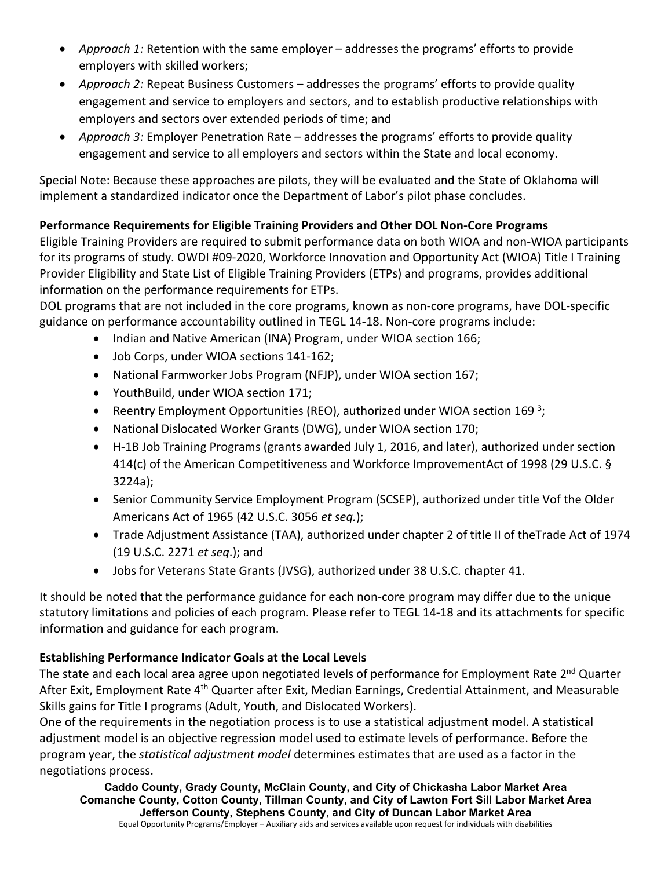- *Approach 1:* Retention with the same employer addresses the programs' efforts to provide employers with skilled workers;
- *Approach 2:* Repeat Business Customers addresses the programs' efforts to provide quality engagement and service to employers and sectors, and to establish productive relationships with employers and sectors over extended periods of time; and
- *Approach 3:* Employer Penetration Rate addresses the programs' efforts to provide quality engagement and service to all employers and sectors within the State and local economy.

Special Note: Because these approaches are pilots, they will be evaluated and the State of Oklahoma will implement a standardized indicator once the Department of Labor's pilot phase concludes.

## **Performance Requirements for Eligible Training Providers and Other DOL Non-Core Programs**

Eligible Training Providers are required to submit performance data on both WIOA and non-WIOA participants for its programs of study. OWDI #09-2020, Workforce Innovation and Opportunity Act (WIOA) Title I Training Provider Eligibility and State List of Eligible Training Providers (ETPs) and programs, provides additional information on the performance requirements for ETPs.

DOL programs that are not included in the core programs, known as non-core programs, have DOL-specific guidance on performance accountability outlined in TEGL 14-18. Non-core programs include:

- Indian and Native American (INA) Program, under WIOA section 166;
- Job Corps, under WIOA sections 141-162;
- National Farmworker Jobs Program (NFJP), under WIOA section 167;
- YouthBuild, under WIOA section 171;
- Reentry Employment Opportunities (REO), authorized under WIOA section 169<sup>3</sup>;
- National Dislocated Worker Grants (DWG), under WIOA section 170;
- H-1B Job Training Programs (grants awarded July 1, 2016, and later), authorized under section 414(c) of the American Competitiveness and Workforce ImprovementAct of 1998 (29 U.S.C. § 3224a);
- Senior Community Service Employment Program (SCSEP), authorized under title Vof the Older Americans Act of 1965 (42 U.S.C. 3056 *et seq.*);
- Trade Adjustment Assistance (TAA), authorized under chapter 2 of title II of theTrade Act of 1974 (19 U.S.C. 2271 *et seq*.); and
- Jobs for Veterans State Grants (JVSG), authorized under 38 U.S.C. chapter 41.

It should be noted that the performance guidance for each non-core program may differ due to the unique statutory limitations and policies of each program. Please refer to TEGL 14-18 and its attachments for specific information and guidance for each program.

# **Establishing Performance Indicator Goals at the Local Levels**

The state and each local area agree upon negotiated levels of performance for Employment Rate 2<sup>nd</sup> Quarter After Exit, Employment Rate 4<sup>th</sup> Quarter after Exit, Median Earnings, Credential Attainment, and Measurable Skills gains for Title I programs (Adult, Youth, and Dislocated Workers).

One of the requirements in the negotiation process is to use a statistical adjustment model. A statistical adjustment model is an objective regression model used to estimate levels of performance. Before the program year, the *statistical adjustment model* determines estimates that are used as a factor in the negotiations process.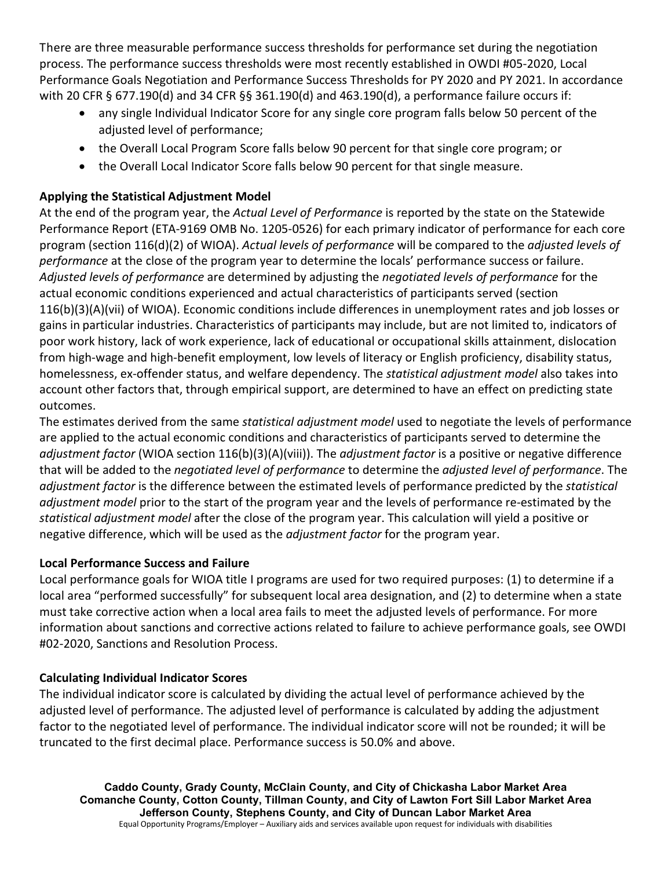There are three measurable performance success thresholds for performance set during the negotiation process. The performance success thresholds were most recently established in OWDI #05-2020, Local Performance Goals Negotiation and Performance Success Thresholds for PY 2020 and PY 2021. In accordance with 20 CFR § 677.190(d) and 34 CFR §§ 361.190(d) and 463.190(d), a performance failure occurs if:

- any single Individual Indicator Score for any single core program falls below 50 percent of the adjusted level of performance;
- the Overall Local Program Score falls below 90 percent for that single core program; or
- the Overall Local Indicator Score falls below 90 percent for that single measure.

# **Applying the Statistical Adjustment Model**

At the end of the program year, the *Actual Level of Performance* is reported by the state on the Statewide Performance Report (ETA-9169 OMB No. 1205-0526) for each primary indicator of performance for each core program (section 116(d)(2) of WIOA). *Actual levels of performance* will be compared to the *adjusted levels of performance* at the close of the program year to determine the locals' performance success or failure. *Adjusted levels of performance* are determined by adjusting the *negotiated levels of performance* for the actual economic conditions experienced and actual characteristics of participants served (section 116(b)(3)(A)(vii) of WIOA). Economic conditions include differences in unemployment rates and job losses or gains in particular industries. Characteristics of participants may include, but are not limited to, indicators of poor work history, lack of work experience, lack of educational or occupational skills attainment, dislocation from high-wage and high-benefit employment, low levels of literacy or English proficiency, disability status, homelessness, ex-offender status, and welfare dependency. The *statistical adjustment model* also takes into account other factors that, through empirical support, are determined to have an effect on predicting state outcomes.

The estimates derived from the same *statistical adjustment model* used to negotiate the levels of performance are applied to the actual economic conditions and characteristics of participants served to determine the *adjustment factor* (WIOA section 116(b)(3)(A)(viii)). The *adjustment factor* is a positive or negative difference that will be added to the *negotiated level of performance* to determine the *adjusted level of performance*. The *adjustment factor* is the difference between the estimated levels of performance predicted by the *statistical adjustment model* prior to the start of the program year and the levels of performance re-estimated by the *statistical adjustment model* after the close of the program year. This calculation will yield a positive or negative difference, which will be used as the *adjustment factor* for the program year.

### **Local Performance Success and Failure**

Local performance goals for WIOA title I programs are used for two required purposes: (1) to determine if a local area "performed successfully" for subsequent local area designation, and (2) to determine when a state must take corrective action when a local area fails to meet the adjusted levels of performance. For more information about sanctions and corrective actions related to failure to achieve performance goals, see OWDI #02-2020, Sanctions and Resolution Process.

# **Calculating Individual Indicator Scores**

The individual indicator score is calculated by dividing the actual level of performance achieved by the adjusted level of performance. The adjusted level of performance is calculated by adding the adjustment factor to the negotiated level of performance. The individual indicator score will not be rounded; it will be truncated to the first decimal place. Performance success is 50.0% and above.